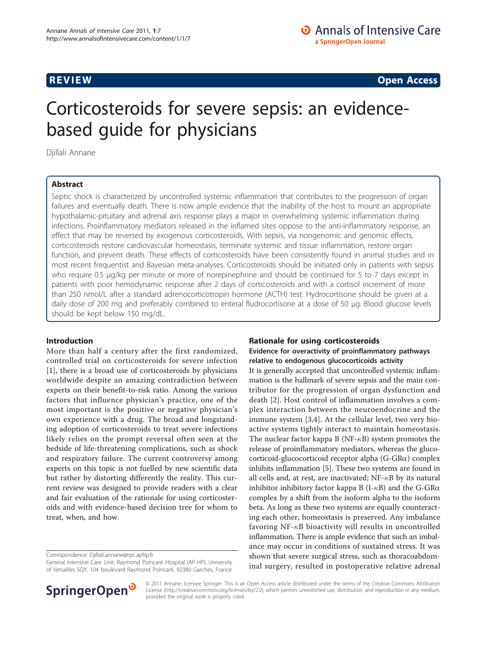**REVIEW REVIEW CONSTRUCTER CONSTRUCTION** 

# Corticosteroids for severe sepsis: an evidencebased guide for physicians

Djillali Annane

# Abstract

Septic shock is characterized by uncontrolled systemic inflammation that contributes to the progression of organ failures and eventually death. There is now ample evidence that the inability of the host to mount an appropriate hypothalamic-pituitary and adrenal axis response plays a major in overwhelming systemic inflammation during infections. Proinflammatory mediators released in the inflamed sites oppose to the anti-inflammatory response, an effect that may be reversed by exogenous corticosteroids. With sepsis, via nongenomic and genomic effects, corticosteroids restore cardiovascular homeostasis, terminate systemic and tissue inflammation, restore organ function, and prevent death. These effects of corticosteroids have been consistently found in animal studies and in most recent frequentist and Bayesian meta-analyses. Corticosteroids should be initiated only in patients with sepsis who require 0.5 μg/kg per minute or more of norepinephrine and should be continued for 5 to 7 days except in patients with poor hemodynamic response after 2 days of corticosteroids and with a cortisol increment of more than 250 nmol/L after a standard adrenocorticotropin hormone (ACTH) test. Hydrocortisone should be given at a daily dose of 200 mg and preferably combined to enteral fludrocortisone at a dose of 50 μg. Blood glucose levels should be kept below 150 mg/dL.

#### Introduction

More than half a century after the first randomized, controlled trial on corticosteroids for severe infection [[1\]](#page-4-0), there is a broad use of corticosteroids by physicians worldwide despite an amazing contradiction between experts on their benefit-to-risk ratio. Among the various factors that influence physician's practice, one of the most important is the positive or negative physician's own experience with a drug. The broad and longstanding adoption of corticosteroids to treat severe infections likely relies on the prompt reversal often seen at the bedside of life-threatening complications, such as shock and respiratory failure. The current controversy among experts on this topic is not fuelled by new scientific data but rather by distorting differently the reality. This current review was designed to provide readers with a clear and fair evaluation of the rationale for using corticosteroids and with evidence-based decision tree for whom to treat, when, and how.

Correspondence: [Djillali.annane@rpc.aphp.fr](mailto:Djillali.annane@rpc.aphp.fr)

General Intensive Care Unit, Raymond Poincaré Hospital (AP-HP), University of Versailles SQY, 104 boulevard Raymond Poincaré, 92380 Garches, France



## Evidence for overactivity of proinflammatory pathways relative to endogenous glucocorticoids activity

It is generally accepted that uncontrolled systemic inflammation is the hallmark of severe sepsis and the main contributor for the progression of organ dysfunction and death [[2\]](#page-4-0). Host control of inflammation involves a complex interaction between the neuroendocrine and the immune system [\[3](#page-4-0),[4\]](#page-4-0). At the cellular level, two very bioactive systems tightly interact to maintain homeostasis. The nuclear factor kappa B ( $NF- $\kappa$ B$ ) system promotes the release of proinflammatory mediators, whereas the glucocorticoid-glucocorticoid receptor alpha (G-GRa) complex inhibits inflammation [[5](#page-4-0)]. These two systems are found in all cells and, at rest, are inactivated;  $NF - \kappa B$  by its natural inhibitor inhibitory factor kappa B (I- $\kappa$ B) and the G-GR $\alpha$ complex by a shift from the isoform alpha to the isoform beta. As long as these two systems are equally counteracting each other, homeostasis is preserved. Any imbalance favoring NF- $\kappa$ B bioactivity will results in uncontrolled inflammation. There is ample evidence that such an imbalance may occur in conditions of sustained stress. It was shown that severe surgical stress, such as thoracoabdominal surgery, resulted in postoperative relative adrenal



© 2011 Annane; licensee Springer. This is an Open Access article distributed under the terms of the Creative Commons Attribution License [\(http://creativecommons.org/licenses/by/2.0](http://creativecommons.org/licenses/by/2.0)), which permits unrestricted use, distribution, and reproduction in any medium, provided the original work is properly cited.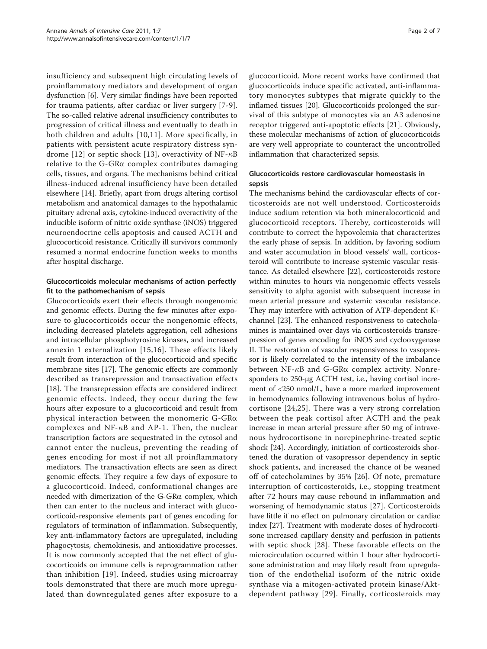insufficiency and subsequent high circulating levels of proinflammatory mediators and development of organ dysfunction [\[6](#page-4-0)]. Very similar findings have been reported for trauma patients, after cardiac or liver surgery [[7](#page-4-0)-[9](#page-4-0)]. The so-called relative adrenal insufficiency contributes to progression of critical illness and eventually to death in both children and adults [\[10,](#page-4-0)[11\]](#page-5-0). More specifically, in patients with persistent acute respiratory distress syn-drome [[12](#page-5-0)] or septic shock [[13](#page-5-0)], overactivity of NF- $\kappa$ B relative to the G-GR $\alpha$  complex contributes damaging cells, tissues, and organs. The mechanisms behind critical illness-induced adrenal insufficiency have been detailed elsewhere [[14\]](#page-5-0). Briefly, apart from drugs altering cortisol metabolism and anatomical damages to the hypothalamic pituitary adrenal axis, cytokine-induced overactivity of the inducible isoform of nitric oxide synthase (iNOS) triggered neuroendocrine cells apoptosis and caused ACTH and glucocorticoid resistance. Critically ill survivors commonly resumed a normal endocrine function weeks to months after hospital discharge.

# Glucocorticoids molecular mechanisms of action perfectly fit to the pathomechanism of sepsis

Glucocorticoids exert their effects through nongenomic and genomic effects. During the few minutes after exposure to glucocorticoids occur the nongenomic effects, including decreased platelets aggregation, cell adhesions and intracellular phosphotyrosine kinases, and increased annexin 1 externalization [[15,16\]](#page-5-0). These effects likely result from interaction of the glucocorticoid and specific membrane sites [\[17](#page-5-0)]. The genomic effects are commonly described as transrepression and transactivation effects [[18\]](#page-5-0). The transrepression effects are considered indirect genomic effects. Indeed, they occur during the few hours after exposure to a glucocorticoid and result from physical interaction between the monomeric G-GRa complexes and NF- $\kappa$ B and AP-1. Then, the nuclear transcription factors are sequestrated in the cytosol and cannot enter the nucleus, preventing the reading of genes encoding for most if not all proinflammatory mediators. The transactivation effects are seen as direct genomic effects. They require a few days of exposure to a glucocorticoid. Indeed, conformational changes are needed with dimerization of the  $G$ -GR $\alpha$  complex, which then can enter to the nucleus and interact with glucocorticoid-responsive elements part of genes encoding for regulators of termination of inflammation. Subsequently, key anti-inflammatory factors are upregulated, including phagocytosis, chemokinesis, and antioxidative processes. It is now commonly accepted that the net effect of glucocorticoids on immune cells is reprogrammation rather than inhibition [[19](#page-5-0)]. Indeed, studies using microarray tools demonstrated that there are much more upregulated than downregulated genes after exposure to a

glucocorticoid. More recent works have confirmed that glucocorticoids induce specific activated, anti-inflammatory monocytes subtypes that migrate quickly to the inflamed tissues [\[20](#page-5-0)]. Glucocorticoids prolonged the survival of this subtype of monocytes via an A3 adenosine receptor triggered anti-apoptotic effects [[21](#page-5-0)]. Obviously, these molecular mechanisms of action of glucocorticoids are very well appropriate to counteract the uncontrolled inflammation that characterized sepsis.

# Glucocorticoids restore cardiovascular homeostasis in sepsis

The mechanisms behind the cardiovascular effects of corticosteroids are not well understood. Corticosteroids induce sodium retention via both mineralocorticoid and glucocorticoid receptors. Thereby, corticosteroids will contribute to correct the hypovolemia that characterizes the early phase of sepsis. In addition, by favoring sodium and water accumulation in blood vessels' wall, corticosteroid will contribute to increase systemic vascular resistance. As detailed elsewhere [\[22\]](#page-5-0), corticosteroids restore within minutes to hours via nongenomic effects vessels sensitivity to alpha agonist with subsequent increase in mean arterial pressure and systemic vascular resistance. They may interfere with activation of ATP-dependent K+ channel [[23\]](#page-5-0). The enhanced responsiveness to catecholamines is maintained over days via corticosteroids transrepression of genes encoding for iNOS and cyclooxygenase II. The restoration of vascular responsiveness to vasopressor is likely correlated to the intensity of the imbalance between NF- $\kappa$ B and G-GR $\alpha$  complex activity. Nonresponders to 250-μg ACTH test, i.e., having cortisol increment of <250 nmol/L, have a more marked improvement in hemodynamics following intravenous bolus of hydrocortisone [[24](#page-5-0),[25\]](#page-5-0). There was a very strong correlation between the peak cortisol after ACTH and the peak increase in mean arterial pressure after 50 mg of intravenous hydrocortisone in norepinephrine-treated septic shock [\[24\]](#page-5-0). Accordingly, initiation of corticosteroids shortened the duration of vasopressor dependency in septic shock patients, and increased the chance of be weaned off of catecholamines by 35% [[26\]](#page-5-0). Of note, premature interruption of corticosteroids, i.e., stopping treatment after 72 hours may cause rebound in inflammation and worsening of hemodynamic status [[27\]](#page-5-0). Corticosteroids have little if no effect on pulmonary circulation or cardiac index [[27](#page-5-0)]. Treatment with moderate doses of hydrocortisone increased capillary density and perfusion in patients with septic shock [[28\]](#page-5-0). These favorable effects on the microcirculation occurred within 1 hour after hydrocortisone administration and may likely result from upregulation of the endothelial isoform of the nitric oxide synthase via a mitogen-activated protein kinase/Aktdependent pathway [[29\]](#page-5-0). Finally, corticosteroids may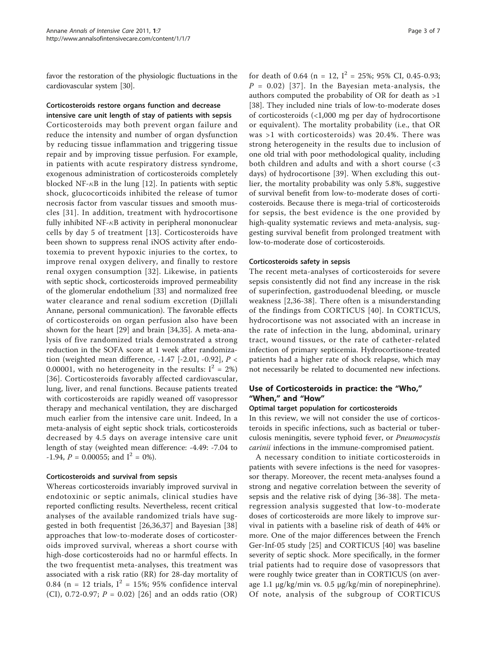favor the restoration of the physiologic fluctuations in the cardiovascular system [\[30](#page-5-0)].

#### Corticosteroids restore organs function and decrease intensive care unit length of stay of patients with sepsis

Corticosteroids may both prevent organ failure and reduce the intensity and number of organ dysfunction by reducing tissue inflammation and triggering tissue repair and by improving tissue perfusion. For example, in patients with acute respiratory distress syndrome, exogenous administration of corticosteroids completely blocked NF- $\kappa$ B in the lung [\[12](#page-5-0)]. In patients with septic shock, glucocorticoids inhibited the release of tumor necrosis factor from vascular tissues and smooth muscles [[31\]](#page-5-0). In addition, treatment with hydrocortisone fully inhibited  $NF-\kappa B$  activity in peripheral mononuclear cells by day 5 of treatment [\[13\]](#page-5-0). Corticosteroids have been shown to suppress renal iNOS activity after endotoxemia to prevent hypoxic injuries to the cortex, to improve renal oxygen delivery, and finally to restore renal oxygen consumption [[32](#page-5-0)]. Likewise, in patients with septic shock, corticosteroids improved permeability of the glomerular endothelium [[33\]](#page-5-0) and normalized free water clearance and renal sodium excretion (Djillali Annane, personal communication). The favorable effects of corticosteroids on organ perfusion also have been shown for the heart [\[29](#page-5-0)] and brain [[34,35\]](#page-5-0). A meta-analysis of five randomized trials demonstrated a strong reduction in the SOFA score at 1 week after randomization (weighted mean difference,  $-1.47$  [ $-2.01$ ,  $-0.92$ ],  $P <$ 0.00001, with no heterogeneity in the results:  $I^2 = 2\%)$ [[36](#page-5-0)]. Corticosteroids favorably affected cardiovascular, lung, liver, and renal functions. Because patients treated with corticosteroids are rapidly weaned off vasopressor therapy and mechanical ventilation, they are discharged much earlier from the intensive care unit. Indeed, In a meta-analysis of eight septic shock trials, corticosteroids decreased by 4.5 days on average intensive care unit length of stay (weighted mean difference: -4.49: -7.04 to  $-1.94$ ,  $P = 0.00055$ ; and  $I^2 = 0\%$ ).

#### Corticosteroids and survival from sepsis

Whereas corticosteroids invariably improved survival in endotoxinic or septic animals, clinical studies have reported conflicting results. Nevertheless, recent critical analyses of the available randomized trials have suggested in both frequentist [[26,36,37](#page-5-0)] and Bayesian [\[38](#page-5-0)] approaches that low-to-moderate doses of corticosteroids improved survival, whereas a short course with high-dose corticosteroids had no or harmful effects. In the two frequentist meta-analyses, this treatment was associated with a risk ratio (RR) for 28-day mortality of 0.84 (n = 12 trials,  $I^2$  = 15%; 95% confidence interval (CI), 0.72-0.97;  $P = 0.02$ ) [[26](#page-5-0)] and an odds ratio (OR) for death of 0.64 (n = 12,  $I^2 = 25\%$ ; 95% CI, 0.45-0.93;  $P = 0.02$ ) [[37](#page-5-0)]. In the Bayesian meta-analysis, the authors computed the probability of OR for death as >1 [[38\]](#page-5-0). They included nine trials of low-to-moderate doses of corticosteroids (<1,000 mg per day of hydrocortisone or equivalent). The mortality probability (i.e., that OR was >1 with corticosteroids) was 20.4%. There was strong heterogeneity in the results due to inclusion of one old trial with poor methodological quality, including both children and adults and with a short course (<3 days) of hydrocortisone [[39\]](#page-5-0). When excluding this outlier, the mortality probability was only 5.8%, suggestive of survival benefit from low-to-moderate doses of corticosteroids. Because there is mega-trial of corticosteroids for sepsis, the best evidence is the one provided by high-quality systematic reviews and meta-analysis, suggesting survival benefit from prolonged treatment with low-to-moderate dose of corticosteroids.

#### Corticosteroids safety in sepsis

The recent meta-analyses of corticosteroids for severe sepsis consistently did not find any increase in the risk of superinfection, gastroduodenal bleeding, or muscle weakness [[2,](#page-4-0)[36](#page-5-0)-[38](#page-5-0)]. There often is a misunderstanding of the findings from CORTICUS [\[40\]](#page-5-0). In CORTICUS, hydrocortisone was not associated with an increase in the rate of infection in the lung, abdominal, urinary tract, wound tissues, or the rate of catheter-related infection of primary septicemia. Hydrocortisone-treated patients had a higher rate of shock relapse, which may not necessarily be related to documented new infections.

## Use of Corticosteroids in practice: the "Who," "When," and "How"

#### Optimal target population for corticosteroids

In this review, we will not consider the use of corticosteroids in specific infections, such as bacterial or tuberculosis meningitis, severe typhoid fever, or Pneumocystis carinii infections in the immune-compromised patient.

A necessary condition to initiate corticosteroids in patients with severe infections is the need for vasopressor therapy. Moreover, the recent meta-analyses found a strong and negative correlation between the severity of sepsis and the relative risk of dying [[36-38](#page-5-0)]. The metaregression analysis suggested that low-to-moderate doses of corticosteroids are more likely to improve survival in patients with a baseline risk of death of 44% or more. One of the major differences between the French Ger-Inf-05 study [[25\]](#page-5-0) and CORTICUS [[40\]](#page-5-0) was baseline severity of septic shock. More specifically, in the former trial patients had to require dose of vasopressors that were roughly twice greater than in CORTICUS (on average 1.1 μg/kg/min vs. 0.5 μg/kg/min of norepinephrine). Of note, analysis of the subgroup of CORTICUS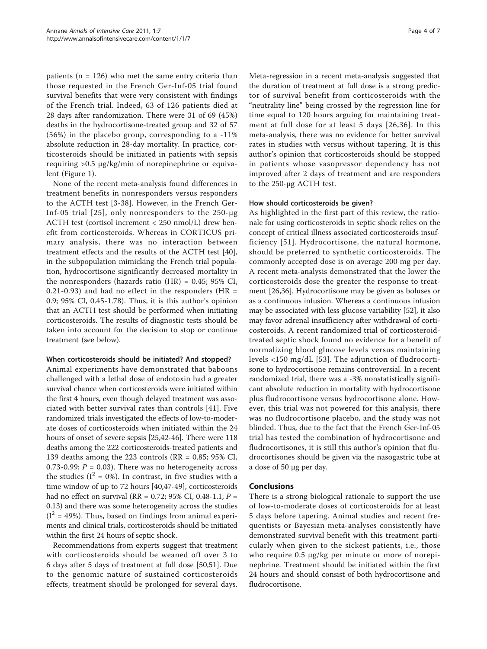patients ( $n = 126$ ) who met the same entry criteria than those requested in the French Ger-Inf-05 trial found survival benefits that were very consistent with findings of the French trial. Indeed, 63 of 126 patients died at 28 days after randomization. There were 31 of 69 (45%) deaths in the hydrocortisone-treated group and 32 of 57 (56%) in the placebo group, corresponding to a -11% absolute reduction in 28-day mortality. In practice, corticosteroids should be initiated in patients with sepsis requiring >0.5 μg/kg/min of norepinephrine or equivalent (Figure [1](#page-4-0)).

None of the recent meta-analysis found differences in treatment benefits in nonresponders versus responders to the ACTH test [[3-](#page-4-0)[38\]](#page-5-0). However, in the French Ger-Inf-05 trial [[25](#page-5-0)], only nonresponders to the 250-μg ACTH test (cortisol increment < 250 nmol/L) drew benefit from corticosteroids. Whereas in CORTICUS primary analysis, there was no interaction between treatment effects and the results of the ACTH test [\[40](#page-5-0)], in the subpopulation mimicking the French trial population, hydrocortisone significantly decreased mortality in the nonresponders (hazards ratio  $(HR) = 0.45$ ; 95% CI, 0.21-0.93) and had no effect in the responders (HR  $=$ 0.9; 95% CI, 0.45-1.78). Thus, it is this author's opinion that an ACTH test should be performed when initiating corticosteroids. The results of diagnostic tests should be taken into account for the decision to stop or continue treatment (see below).

#### When corticosteroids should be initiated? And stopped?

Animal experiments have demonstrated that baboons challenged with a lethal dose of endotoxin had a greater survival chance when corticosteroids were initiated within the first 4 hours, even though delayed treatment was associated with better survival rates than controls [[41](#page-5-0)]. Five randomized trials investigated the effects of low-to-moderate doses of corticosteroids when initiated within the 24 hours of onset of severe sepsis [[25,42](#page-5-0)-[46](#page-5-0)]. There were 118 deaths among the 222 corticosteroids-treated patients and 139 deaths among the 223 controls (RR = 0.85; 95% CI, 0.73-0.99;  $P = 0.03$ ). There was no heterogeneity across the studies ( $I^2 = 0\%$ ). In contrast, in five studies with a time window of up to 72 hours [\[40,47-49](#page-5-0)], corticosteroids had no effect on survival (RR = 0.72; 95% CI, 0.48-1.1;  $P =$ 0.13) and there was some heterogeneity across the studies  $(I<sup>2</sup> = 49$ %). Thus, based on findings from animal experiments and clinical trials, corticosteroids should be initiated within the first 24 hours of septic shock.

Recommendations from experts suggest that treatment with corticosteroids should be weaned off over 3 to 6 days after 5 days of treatment at full dose [\[50](#page-5-0)[,51](#page-6-0)]. Due to the genomic nature of sustained corticosteroids effects, treatment should be prolonged for several days. Meta-regression in a recent meta-analysis suggested that the duration of treatment at full dose is a strong predictor of survival benefit from corticosteroids with the "neutrality line" being crossed by the regression line for time equal to 120 hours arguing for maintaining treatment at full dose for at least 5 days [[26,36](#page-5-0)]. In this meta-analysis, there was no evidence for better survival rates in studies with versus without tapering. It is this author's opinion that corticosteroids should be stopped in patients whose vasopressor dependency has not improved after 2 days of treatment and are responders to the 250-μg ACTH test.

#### How should corticosteroids be given?

As highlighted in the first part of this review, the rationale for using corticosteroids in septic shock relies on the concept of critical illness associated corticosteroids insufficiency [[51](#page-6-0)]. Hydrocortisone, the natural hormone, should be preferred to synthetic corticosteroids. The commonly accepted dose is on average 200 mg per day. A recent meta-analysis demonstrated that the lower the corticosteroids dose the greater the response to treatment [[26,36\]](#page-5-0). Hydrocortisone may be given as boluses or as a continuous infusion. Whereas a continuous infusion may be associated with less glucose variability [[52](#page-6-0)], it also may favor adrenal insufficiency after withdrawal of corticosteroids. A recent randomized trial of corticosteroidtreated septic shock found no evidence for a benefit of normalizing blood glucose levels versus maintaining levels <150 mg/dL [[53](#page-6-0)]. The adjunction of fludrocortisone to hydrocortisone remains controversial. In a recent randomized trial, there was a -3% nonstatistically significant absolute reduction in mortality with hydrocortisone plus fludrocortisone versus hydrocortisone alone. However, this trial was not powered for this analysis, there was no fludrocortisone placebo, and the study was not blinded. Thus, due to the fact that the French Ger-Inf-05 trial has tested the combination of hydrocortisone and fludrocortisones, it is still this author's opinion that fludrocortisones should be given via the nasogastric tube at a dose of 50 μg per day.

#### Conclusions

There is a strong biological rationale to support the use of low-to-moderate doses of corticosteroids for at least 5 days before tapering. Animal studies and recent frequentists or Bayesian meta-analyses consistently have demonstrated survival benefit with this treatment particularly when given to the sickest patients, i.e., those who require 0.5 μg/kg per minute or more of norepinephrine. Treatment should be initiated within the first 24 hours and should consist of both hydrocortisone and fludrocortisone.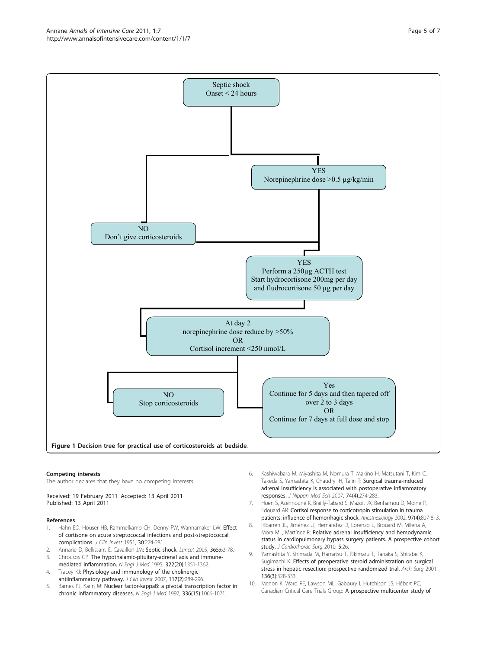<span id="page-4-0"></span>Annane Annals of Intensive Care 2011, 1:7 http://www.annalsofintensivecare.com/content/1/1/7



#### Competing interests

The author declares that they have no competing interests.

Received: 19 February 2011 Accepted: 13 April 2011 Published: 13 April 2011

#### References

- 1. Hahn EO, Houser HB, Rammelkamp CH, Denny FW, Wannamaker LW: [Effect](http://www.ncbi.nlm.nih.gov/pubmed/14824277?dopt=Abstract) [of cortisone on acute streptococcal infections and post-streptococcal](http://www.ncbi.nlm.nih.gov/pubmed/14824277?dopt=Abstract) [complications.](http://www.ncbi.nlm.nih.gov/pubmed/14824277?dopt=Abstract) J Clin Invest 1951, 30:274-281.
- Annane D, Bellissant E, Cavaillon JM: [Septic shock.](http://www.ncbi.nlm.nih.gov/pubmed/15639681?dopt=Abstract) Lancet 2005, 365:63-78.
- 3. Chrousos GP: The hypothalamic-pituitary-adrenal axis and immunemediated inflammation. N Engl J Med 1995, 322(20):1351-1362.
- 4. Tracey KJ: [Physiology and immunology of the cholinergic](http://www.ncbi.nlm.nih.gov/pubmed/17273548?dopt=Abstract) [antiinflammatory pathway.](http://www.ncbi.nlm.nih.gov/pubmed/17273548?dopt=Abstract) J Clin Invest 2007, 117(2):289-296.
- 5. Barnes PJ, Karin M: [Nuclear factor-kappaB: a pivotal transcription factor in](http://www.ncbi.nlm.nih.gov/pubmed/9091804?dopt=Abstract) [chronic inflammatory diseases.](http://www.ncbi.nlm.nih.gov/pubmed/9091804?dopt=Abstract) N Engl J Med 1997, 336(15):1066-1071.
- 6. Kashiwabara M, Miyashita M, Nomura T, Makino H, Matsutani T, Kim C, Takeda S, Yamashita K, Chaudry IH, Tajiri T: [Surgical trauma-induced](http://www.ncbi.nlm.nih.gov/pubmed/17878697?dopt=Abstract) [adrenal insufficiency is associated with postoperative inflammatory](http://www.ncbi.nlm.nih.gov/pubmed/17878697?dopt=Abstract) [responses.](http://www.ncbi.nlm.nih.gov/pubmed/17878697?dopt=Abstract) J Nippon Med Sch 2007, 74(4):274-283.
- 7. Hoen S, Asehnoune K, Brailly-Tabard S, Mazoit JX, Benhamou D, Moine P, Edouard AR: [Cortisol response to corticotropin stimulation in trauma](http://www.ncbi.nlm.nih.gov/pubmed/12357144?dopt=Abstract) [patients: influence of hemorrhagic shock.](http://www.ncbi.nlm.nih.gov/pubmed/12357144?dopt=Abstract) Anesthesiology 2002, 97(4):807-813.
- 8. Iribarren JL, Jiménez JJ, Hernández D, Lorenzo L, Brouard M, Milena A, Mora ML, Martínez R: [Relative adrenal insufficiency and hemodynamic](http://www.ncbi.nlm.nih.gov/pubmed/20403156?dopt=Abstract) [status in cardiopulmonary bypass surgery patients. A prospective cohort](http://www.ncbi.nlm.nih.gov/pubmed/20403156?dopt=Abstract) [study.](http://www.ncbi.nlm.nih.gov/pubmed/20403156?dopt=Abstract) J Cardiothorac Surg 2010, 5:26.
- 9. Yamashita Y, Shimada M, Hamatsu T, Rikimaru T, Tanaka S, Shirabe K, Sugimachi K: [Effects of preoperative steroid administration on surgical](http://www.ncbi.nlm.nih.gov/pubmed/11231856?dopt=Abstract) [stress in hepatic resection: prospective randomized trial.](http://www.ncbi.nlm.nih.gov/pubmed/11231856?dopt=Abstract) Arch Surg 2001, 136(3):328-333.
- 10. Menon K, Ward RE, Lawson ML, Gaboury I, Hutchison JS, Hébert PC, Canadian Critical Care Trials Group: [A prospective multicenter study of](http://www.ncbi.nlm.nih.gov/pubmed/20299532?dopt=Abstract)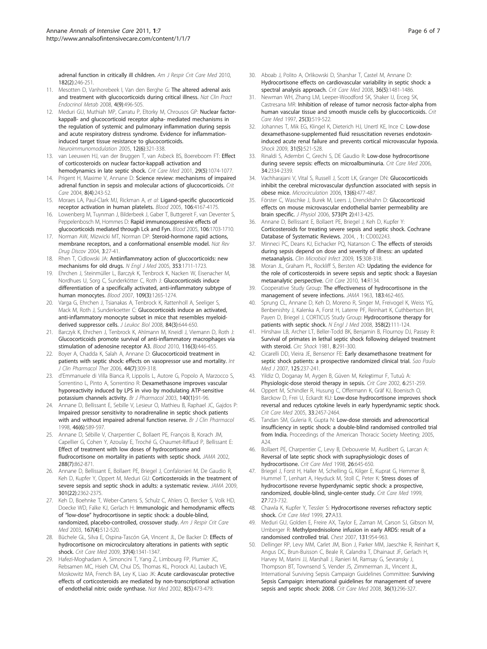<span id="page-5-0"></span>[adrenal function in critically ill children.](http://www.ncbi.nlm.nih.gov/pubmed/20299532?dopt=Abstract) Am J Respir Crit Care Med 2010. 182(2):246-251.

- 11. Mesotten D, Vanhorebeek I, Van den Berghe G: [The altered adrenal axis](http://www.ncbi.nlm.nih.gov/pubmed/18695699?dopt=Abstract) [and treatment with glucocorticoids during critical illness.](http://www.ncbi.nlm.nih.gov/pubmed/18695699?dopt=Abstract) Nat Clin Pract Endocrinol Metab 2008, 4(9):496-505.
- 12. Meduri GU, Muthiah MP, Carratu P, Eltorky M, Chrousos GP: [Nuclear factor](http://www.ncbi.nlm.nih.gov/pubmed/16557033?dopt=Abstract)[kappaB- and glucocorticoid receptor alpha- mediated mechanisms in](http://www.ncbi.nlm.nih.gov/pubmed/16557033?dopt=Abstract) [the regulation of systemic and pulmonary inflammation during sepsis](http://www.ncbi.nlm.nih.gov/pubmed/16557033?dopt=Abstract) [and acute respiratory distress syndrome. Evidence for inflammation](http://www.ncbi.nlm.nih.gov/pubmed/16557033?dopt=Abstract)[induced target tissue resistance to glucocorticoids.](http://www.ncbi.nlm.nih.gov/pubmed/16557033?dopt=Abstract) Neuroimmunomodulation 2005, 12(6):321-338.
- 13. van Leeuwen HJ, van der Bruggen T, van Asbeck BS, Boereboom FT: [Effect](http://www.ncbi.nlm.nih.gov/pubmed/11378624?dopt=Abstract) [of corticosteroids on nuclear factor-kappaB activation and](http://www.ncbi.nlm.nih.gov/pubmed/11378624?dopt=Abstract) [hemodynamics in late septic shock.](http://www.ncbi.nlm.nih.gov/pubmed/11378624?dopt=Abstract) Crit Care Med 2001, 29(5):1074-1077.
- 14. Prigent H, Maxime V, Annane D: [Science review: mechanisms of impaired](http://www.ncbi.nlm.nih.gov/pubmed/15312206?dopt=Abstract) [adrenal function in sepsis and molecular actions of glucocorticoids.](http://www.ncbi.nlm.nih.gov/pubmed/15312206?dopt=Abstract) Crit Care 2004, 8(4):243-52.
- 15. Moraes LA, Paul-Clark MJ, Rickman A, et al: [Ligand-specific glucocorticoid](http://www.ncbi.nlm.nih.gov/pubmed/16131566?dopt=Abstract) [receptor activation in human platelets.](http://www.ncbi.nlm.nih.gov/pubmed/16131566?dopt=Abstract) Blood 2005, 106:4167-4175.
- 16. Lowenberg M, Tuynman J, Bilderbeek J, Gaber T, Buttgereit F, van Deventer S, Peppelenbosch M, Hommes D: [Rapid immunosuppressive effects of](http://www.ncbi.nlm.nih.gov/pubmed/15899916?dopt=Abstract) [glucocorticoids mediated through Lck and Fyn.](http://www.ncbi.nlm.nih.gov/pubmed/15899916?dopt=Abstract) Blood 2005, 106:1703-1710.
- 17. Norman AW, Mizwicki MT, Norman DP: [Steroid-hormone rapid actions,](http://www.ncbi.nlm.nih.gov/pubmed/14708019?dopt=Abstract) [membrane receptors, and a conformational ensemble model.](http://www.ncbi.nlm.nih.gov/pubmed/14708019?dopt=Abstract) Nat Rev Drug Discov 2004, 3:27-41.
- 18. Rhen T, Cidlowski JA: [Antiinflammatory action of glucocorticoids: new](http://www.ncbi.nlm.nih.gov/pubmed/16236742?dopt=Abstract) [mechanisms for old drugs.](http://www.ncbi.nlm.nih.gov/pubmed/16236742?dopt=Abstract) N Engl J Med 2005, 353:1711-1723.
- 19. Ehrchen J, Steinmüller L, Barczyk K, Tenbrock K, Nacken W, Eisenacher M, Nordhues U, Sorg C, Sunderkötter C, Roth J: [Glucocorticoids induce](http://www.ncbi.nlm.nih.gov/pubmed/17018861?dopt=Abstract) [differentiation of a specifically activated, anti-inflammatory subtype of](http://www.ncbi.nlm.nih.gov/pubmed/17018861?dopt=Abstract) [human monocytes.](http://www.ncbi.nlm.nih.gov/pubmed/17018861?dopt=Abstract) Blood 2007, 109(3):1265-1274.
- 20. Varga G, Ehrchen J, Tsianakas A, Tenbrock K, Rattenholl A, Seeliger S, Mack M, Roth J, Sunderkoetter C: [Glucocorticoids induce an activated,](http://www.ncbi.nlm.nih.gov/pubmed/18611985?dopt=Abstract) [anti-inflammatory monocyte subset in mice that resembles myeloid](http://www.ncbi.nlm.nih.gov/pubmed/18611985?dopt=Abstract)[derived suppressor cells.](http://www.ncbi.nlm.nih.gov/pubmed/18611985?dopt=Abstract) J Leukoc Biol 2008, 84(3):644-650.
- 21. Barczyk K, Ehrchen J, Tenbrock K, Ahlmann M, Kneidl J, Viemann D, Roth J: [Glucocorticoids promote survival of anti-inflammatory macrophages via](http://www.ncbi.nlm.nih.gov/pubmed/20460503?dopt=Abstract) [stimulation of adenosine receptor A3.](http://www.ncbi.nlm.nih.gov/pubmed/20460503?dopt=Abstract) Blood 2010, 116(3):446-455.
- 22. Boyer A, Chadda K, Salah A, Annane D: [Glucocorticoid treatment in](http://www.ncbi.nlm.nih.gov/pubmed/16961159?dopt=Abstract) [patients with septic shock: effects on vasopressor use and mortality.](http://www.ncbi.nlm.nih.gov/pubmed/16961159?dopt=Abstract) Int J Clin Pharmacol Ther 2006, 44(7):309-318.
- 23. d'Emmanuele di Villa Bianca R, Lippolis L, Autore G, Popolo A, Marzocco S, Sorrentino L, Pinto A, Sorrentino R: Dexamethasone [improves vascular](http://www.ncbi.nlm.nih.gov/pubmed/12967938?dopt=Abstract) [hyporeactivity induced by LPS in vivo by modulating ATP-sensitive](http://www.ncbi.nlm.nih.gov/pubmed/12967938?dopt=Abstract) [potassium channels activity.](http://www.ncbi.nlm.nih.gov/pubmed/12967938?dopt=Abstract) Br J Pharmacol 2003, 140(1):91-96.
- 24. Annane D, Bellissant E, Sebille V, Lesieur O, Mathieu B, Raphael JC, Gajdos P: [Impaired pressor sensitivity to noradrenaline in septic shock patients](http://www.ncbi.nlm.nih.gov/pubmed/9862249?dopt=Abstract) [with and without impaired adrenal function reserve.](http://www.ncbi.nlm.nih.gov/pubmed/9862249?dopt=Abstract) Br J Clin Pharmacol 1998, 46(6):589-597.
- 25. Annane D, Sébille V, Charpentier C, Bollaert PE, François B, Korach JM, Capellier G, Cohen Y, Azoulay E, Troché G, Chaumet-Riffaud P, Bellissant E: [Effect of treatment with low doses of hydrocortisone and](http://www.ncbi.nlm.nih.gov/pubmed/12186604?dopt=Abstract) [fludrocortisone on mortality in patients with septic shock.](http://www.ncbi.nlm.nih.gov/pubmed/12186604?dopt=Abstract) JAMA 2002, 288(7):862-871.
- 26. Annane D, Bellissant E, Bollaert PE, Briegel J, Confalonieri M, De Gaudio R, Keh D, Kupfer Y, Oppert M, Meduri GU: [Corticosteroids in the treatment of](http://www.ncbi.nlm.nih.gov/pubmed/19509383?dopt=Abstract) [severe sepsis and septic shock in adults: a systematic review.](http://www.ncbi.nlm.nih.gov/pubmed/19509383?dopt=Abstract) JAMA 2009, 301(22):2362-2375.
- 27. Keh D, Boehnke T, Weber-Cartens S, Schulz C, Ahlers O, Bercker S, Volk HD, Doecke WD, Falke KJ, Gerlach H: [Immunologic and hemodynamic effects](http://www.ncbi.nlm.nih.gov/pubmed/12426230?dopt=Abstract) of "low-dose" [hydrocortisone in septic shock: a double-blind,](http://www.ncbi.nlm.nih.gov/pubmed/12426230?dopt=Abstract) [randomized, placebo-controlled, crossover study.](http://www.ncbi.nlm.nih.gov/pubmed/12426230?dopt=Abstract) Am J Respir Crit Care Med 2003, 167(4):512-520.
- 28. Büchele GL, Silva E, Ospina-Tascón GA, Vincent JL, De Backer D: [Effects of](http://www.ncbi.nlm.nih.gov/pubmed/19326575?dopt=Abstract) [hydrocortisone on microcirculatory alterations in patients with septic](http://www.ncbi.nlm.nih.gov/pubmed/19326575?dopt=Abstract) [shock.](http://www.ncbi.nlm.nih.gov/pubmed/19326575?dopt=Abstract) Crit Care Med 2009, 37(4):1341-1347.
- 29. Hafezi-Moghadam A, Simoncini T, Yang Z, Limbourg FP, Plumier JC, Rebsamen MC, Hsieh CM, Chui DS, Thomas KL, Prorock AJ, Laubach VE, Moskowitz MA, French BA, Ley K, Liao JK: [Acute cardiovascular protective](http://www.ncbi.nlm.nih.gov/pubmed/11984591?dopt=Abstract) [effects of corticosteroids are mediated by non-transcriptional activation](http://www.ncbi.nlm.nih.gov/pubmed/11984591?dopt=Abstract) [of endothelial nitric oxide synthase.](http://www.ncbi.nlm.nih.gov/pubmed/11984591?dopt=Abstract) Nat Med 2002, 8(5):473-479.
- 30. Aboab J, Polito A, Orlikowski D, Sharshar T, Castel M, Annane D: [Hydrocortisone effects on cardiovascular variability in septic shock: a](http://www.ncbi.nlm.nih.gov/pubmed/18434902?dopt=Abstract) [spectral analysis approach.](http://www.ncbi.nlm.nih.gov/pubmed/18434902?dopt=Abstract) Crit Care Med 2008, 36(5):1481-1486.
- 31. Newman WH, Zhang LM, Leeper-Woodford SK, Shaker IJ, Erceg SK, Castresana MR: [Inhibition of release of tumor necrosis factor-alpha from](http://www.ncbi.nlm.nih.gov/pubmed/9118671?dopt=Abstract) [human vascular tissue and smooth muscle cells by glucocorticoids.](http://www.ncbi.nlm.nih.gov/pubmed/9118671?dopt=Abstract) Crit Care Med 1997, 25(3):519-522.
- 32. Johannes T, Mik EG, Klingel K, Dieterich HJ, Unertl KE, Ince C: [Low-dose](http://www.ncbi.nlm.nih.gov/pubmed/18827749?dopt=Abstract) [dexamethasone-supplemented fluid resuscitation reverses endotoxin](http://www.ncbi.nlm.nih.gov/pubmed/18827749?dopt=Abstract)[induced acute renal failure and prevents cortical microvascular hypoxia.](http://www.ncbi.nlm.nih.gov/pubmed/18827749?dopt=Abstract) Shock 2009, 31(5):521-528.
- 33. Rinaldi S, Adembri C, Grechi S, DE Gaudio R: [Low-dose hydrocortisone](http://www.ncbi.nlm.nih.gov/pubmed/16850006?dopt=Abstract) [during severe sepsis: effects on microalbuminuria.](http://www.ncbi.nlm.nih.gov/pubmed/16850006?dopt=Abstract) Crit Care Med 2006, 34:2334-2339.
- 34. Vachharajani V, Vital S, Russell J, Scott LK, Granger DN: [Glucocorticoids](http://www.ncbi.nlm.nih.gov/pubmed/16864414?dopt=Abstract) [inhibit the cerebral microvascular dysfunction associated with sepsis in](http://www.ncbi.nlm.nih.gov/pubmed/16864414?dopt=Abstract) [obese mice.](http://www.ncbi.nlm.nih.gov/pubmed/16864414?dopt=Abstract) Microcirculation 2006, 13(6):477-487.
- 35. Förster C, Waschke J, Burek M, Leers J, Drenckhahn D: [Glucocorticoid](http://www.ncbi.nlm.nih.gov/pubmed/16543270?dopt=Abstract) [effects on mouse microvascular endothelial barrier permeability are](http://www.ncbi.nlm.nih.gov/pubmed/16543270?dopt=Abstract) [brain specific.](http://www.ncbi.nlm.nih.gov/pubmed/16543270?dopt=Abstract) J Physiol 2006, 573(Pt 2):413-425.
- 36. Annane D, Bellissant E, Bollaert PE, Briegel J, Keh D, Kupfer Y: Corticosteroids [for treating severe sepsis and septic shock. Cochrane](http://www.ncbi.nlm.nih.gov/pubmed/14973984?dopt=Abstract) [Database of Systematic Reviews.](http://www.ncbi.nlm.nih.gov/pubmed/14973984?dopt=Abstract) 2004, , 1: CD002243.
- 37. Minneci PC, Deans KJ, Eichacker PQ, Natanson C: [The effects of steroids](http://www.ncbi.nlm.nih.gov/pubmed/19416302?dopt=Abstract) [during sepsis depend on dose and severity of illness: an updated](http://www.ncbi.nlm.nih.gov/pubmed/19416302?dopt=Abstract) [metaanalysis.](http://www.ncbi.nlm.nih.gov/pubmed/19416302?dopt=Abstract) Clin Microbiol Infect 2009, 15:308-318.
- 38. Moran JL, Graham PL, Rockliff S, Bersten AD: [Updating the evidence for](http://www.ncbi.nlm.nih.gov/pubmed/20626892?dopt=Abstract) [the role of corticosteroids in severe sepsis and septic shock: a Bayesian](http://www.ncbi.nlm.nih.gov/pubmed/20626892?dopt=Abstract) [metaanalytic perspective.](http://www.ncbi.nlm.nih.gov/pubmed/20626892?dopt=Abstract) Crit Care 2010, 14:R134.
- 39. Cooperative Study Group: The effectiveness of hydrocortisone in the management of severe infections. JAMA 1963, 183:462-465.
- 40. Sprung CL, Annane D, Keh D, Moreno R, Singer M, Freivogel K, Weiss YG, Benbenishty J, Kalenka A, Forst H, Laterre PF, Reinhart K, Cuthbertson BH, Payen D, Briegel J, CORTICUS Study Group: [Hydrocortisone therapy for](http://www.ncbi.nlm.nih.gov/pubmed/18184957?dopt=Abstract) [patients with septic shock.](http://www.ncbi.nlm.nih.gov/pubmed/18184957?dopt=Abstract) N Engl J Med 2008, 358(2):111-124.
- 41. Hinshaw LB, Archer LT, Beller-Todd BK, Benjamin B, Flournoy DJ, Passey R: [Survival of primates in lethal septic shock following delayed treatment](http://www.ncbi.nlm.nih.gov/pubmed/7018730?dopt=Abstract) [with steroid.](http://www.ncbi.nlm.nih.gov/pubmed/7018730?dopt=Abstract) Circ Shock 1981, 8:291-300.
- 42. Cicarelli DD, Vieira JE, Bensenor FE: [Early dexamethasone treatment for](http://www.ncbi.nlm.nih.gov/pubmed/17992396?dopt=Abstract) [septic shock patients: a prospective randomized clinical trial.](http://www.ncbi.nlm.nih.gov/pubmed/17992396?dopt=Abstract) Sao Paulo Med J 2007, 125:237-241.
- 43. Yildiz O, Doganay M, Aygen B, Güven M, Keleştimur F, Tutuû A: [Physiologic-dose steroid therapy in sepsis.](http://www.ncbi.nlm.nih.gov/pubmed/12133187?dopt=Abstract) Crit Care 2002, 6:251-259.
- 44. Oppert M, Schindler R, Husung C, Offermann K, Gräf KJ, Boenisch O, Barckow D, Frei U, Eckardt KU: [Low-dose hydrocortisone improves shock](http://www.ncbi.nlm.nih.gov/pubmed/16276166?dopt=Abstract) [reversal and reduces cytokine levels in early hyperdynamic septic shock.](http://www.ncbi.nlm.nih.gov/pubmed/16276166?dopt=Abstract) Crit Care Med 2005, 33:2457-2464.
- 45. Tandan SM, Guleria R, Gupta N: Low-dose steroids and adrenocortical insufficiency in septic shock: a double-blind randomised controlled trial from India. Proceedings of the American Thoracic Society Meeting; 2005, A24.
- 46. Bollaert PE, Charpentier C, Levy B, Debouverie M, Audibert G, Larcan A: [Reversal of late septic shock with supraphysiologic doses of](http://www.ncbi.nlm.nih.gov/pubmed/9559600?dopt=Abstract) [hydrocortisone.](http://www.ncbi.nlm.nih.gov/pubmed/9559600?dopt=Abstract) Crit Care Med 1998, 26:645-650.
- 47. Briegel J, Forst H, Haller M, Schelling G, Kilger E, Kuprat G, Hemmer B, Hummel T, Lenhart A, Heyduck M, Stoll C, Peter K: [Stress doses of](http://www.ncbi.nlm.nih.gov/pubmed/10321661?dopt=Abstract) [hydrocortisone reverse hyperdynamic septic shock: a prospective,](http://www.ncbi.nlm.nih.gov/pubmed/10321661?dopt=Abstract) [randomized, double-blind, single-center study.](http://www.ncbi.nlm.nih.gov/pubmed/10321661?dopt=Abstract) Crit Care Med 1999, 27:723-732.
- 48. Chawla K, Kupfer Y, Tessler S: Hydrocortisone reverses refractory septic shock. Crit Care Med 1999, 27:A33.
- 49. Meduri GU, Golden E, Freire AX, Taylor E, Zaman M, Carson SJ, Gibson M, Umberger R: [Methylprednisolone infusion in early ARDS: result of a](http://www.ncbi.nlm.nih.gov/pubmed/17426195?dopt=Abstract) [randomised controlled trial.](http://www.ncbi.nlm.nih.gov/pubmed/17426195?dopt=Abstract) Chest 2007, 131:954-963.
- Dellinger RP, Levy MM, Carlet JM, Bion J, Parker MM, Jaeschke R, Reinhart K, Angus DC, Brun-Buisson C, Beale R, Calandra T, Dhainaut JF, Gerlach H, Harvey M, Marini JJ, Marshall J, Ranieri M, Ramsay G, Sevransky J, Thompson BT, Townsend S, Vender JS, Zimmerman JL, Vincent JL, International Surviving Sepsis Campaign Guidelines Committee: [Surviving](http://www.ncbi.nlm.nih.gov/pubmed/18158437?dopt=Abstract) [Sepsis Campaign: international guidelines for management of severe](http://www.ncbi.nlm.nih.gov/pubmed/18158437?dopt=Abstract) [sepsis and septic shock: 2008.](http://www.ncbi.nlm.nih.gov/pubmed/18158437?dopt=Abstract) Crit Care Med 2008, 36(1):296-327.